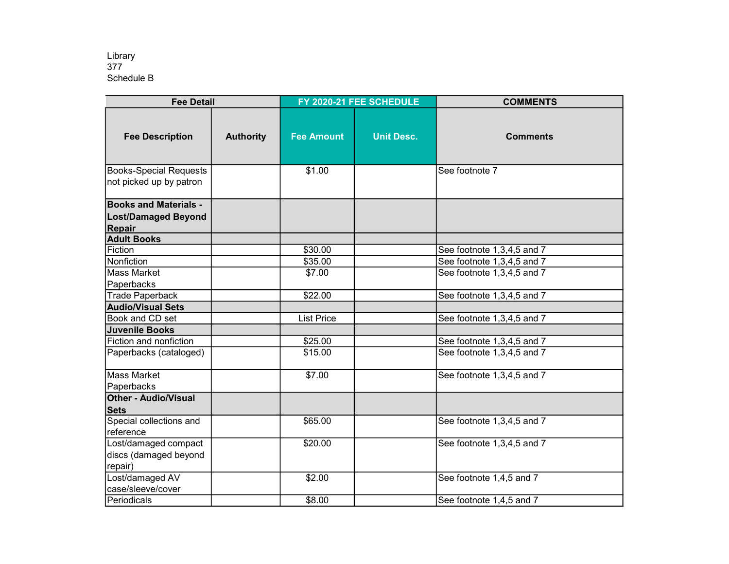| <b>Fee Detail</b>                                                    |                  | FY 2020-21 FEE SCHEDULE |                   | <b>COMMENTS</b>                                      |
|----------------------------------------------------------------------|------------------|-------------------------|-------------------|------------------------------------------------------|
| <b>Fee Description</b>                                               | <b>Authority</b> | <b>Fee Amount</b>       | <b>Unit Desc.</b> | <b>Comments</b>                                      |
| <b>Books-Special Requests</b><br>not picked up by patron             |                  | \$1.00                  |                   | See footnote 7                                       |
| <b>Books and Materials -</b><br><b>Lost/Damaged Beyond</b><br>Repair |                  |                         |                   |                                                      |
| <b>Adult Books</b>                                                   |                  |                         |                   |                                                      |
| Fiction                                                              |                  | \$30.00                 |                   | See footnote 1,3,4,5 and 7                           |
| Nonfiction                                                           |                  | \$35.00                 |                   | See footnote 1,3,4,5 and 7                           |
| <b>Mass Market</b>                                                   |                  | \$7.00                  |                   | See footnote 1,3,4,5 and 7                           |
| Paperbacks                                                           |                  |                         |                   |                                                      |
| <b>Trade Paperback</b>                                               |                  | \$22.00                 |                   | See footnote 1,3,4,5 and 7                           |
| <b>Audio/Visual Sets</b>                                             |                  |                         |                   |                                                      |
| Book and CD set                                                      |                  | <b>List Price</b>       |                   | See footnote 1,3,4,5 and 7                           |
| <b>Juvenile Books</b>                                                |                  |                         |                   |                                                      |
| Fiction and nonfiction                                               |                  | \$25.00                 |                   | See footnote $\overline{1,3,4,5}$ and $\overline{7}$ |
| Paperbacks (cataloged)                                               |                  | \$15.00                 |                   | See footnote 1,3,4,5 and 7                           |
| <b>Mass Market</b>                                                   |                  | \$7.00                  |                   | See footnote 1,3,4,5 and 7                           |
| Paperbacks                                                           |                  |                         |                   |                                                      |
| <b>Other - Audio/Visual</b><br><b>Sets</b>                           |                  |                         |                   |                                                      |
| Special collections and                                              |                  | \$65.00                 |                   | See footnote 1,3,4,5 and 7                           |
| reference                                                            |                  |                         |                   |                                                      |
| Lost/damaged compact                                                 |                  | \$20.00                 |                   | See footnote 1,3,4,5 and 7                           |
| discs (damaged beyond                                                |                  |                         |                   |                                                      |
| repair)                                                              |                  |                         |                   |                                                      |
| Lost/damaged AV                                                      |                  | \$2.00                  |                   | See footnote 1,4,5 and 7                             |
| case/sleeve/cover                                                    |                  |                         |                   |                                                      |
| Periodicals                                                          |                  | \$8.00                  |                   | See footnote 1,4,5 and 7                             |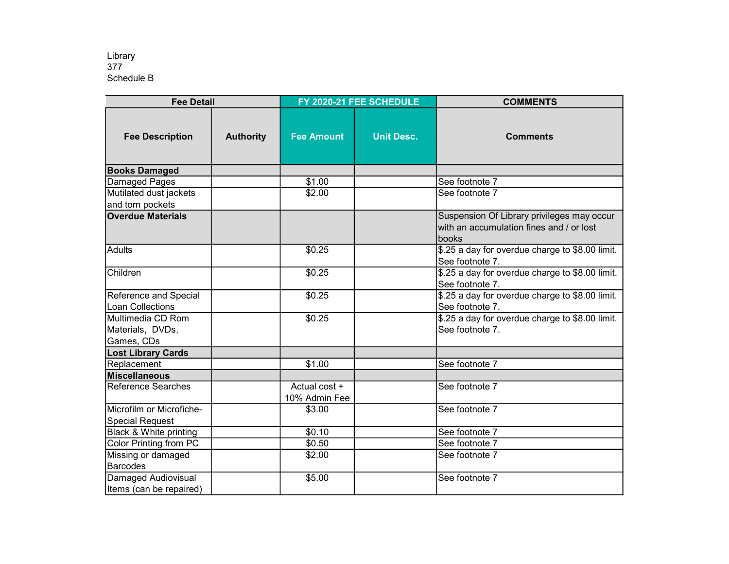| <b>Fee Detail</b>                         |                  | FY 2020-21 FEE SCHEDULE        |                   | <b>COMMENTS</b>                                                                                 |
|-------------------------------------------|------------------|--------------------------------|-------------------|-------------------------------------------------------------------------------------------------|
| <b>Fee Description</b>                    | <b>Authority</b> | <b>Fee Amount</b>              | <b>Unit Desc.</b> | <b>Comments</b>                                                                                 |
| <b>Books Damaged</b>                      |                  |                                |                   |                                                                                                 |
| Damaged Pages                             |                  | \$1.00                         |                   | See footnote 7                                                                                  |
| Mutilated dust jackets                    |                  | \$2.00                         |                   | See footnote 7                                                                                  |
| and torn pockets                          |                  |                                |                   |                                                                                                 |
| <b>Overdue Materials</b>                  |                  |                                |                   | Suspension Of Library privileges may occur<br>with an accumulation fines and / or lost<br>books |
| Adults                                    |                  | \$0.25                         |                   | \$.25 a day for overdue charge to \$8.00 limit.<br>See footnote 7.                              |
| Children                                  |                  | \$0.25                         |                   | \$.25 a day for overdue charge to \$8.00 limit.<br>See footnote 7.                              |
| Reference and Special<br>Loan Collections |                  | \$0.25                         |                   | \$.25 a day for overdue charge to \$8.00 limit.<br>See footnote 7.                              |
| Multimedia CD Rom                         |                  | \$0.25                         |                   | \$.25 a day for overdue charge to \$8.00 limit.                                                 |
| Materials, DVDs,                          |                  |                                |                   | See footnote 7.                                                                                 |
| Games, CDs                                |                  |                                |                   |                                                                                                 |
| <b>Lost Library Cards</b>                 |                  |                                |                   |                                                                                                 |
| Replacement                               |                  | \$1.00                         |                   | See footnote 7                                                                                  |
| Miscellaneous                             |                  |                                |                   |                                                                                                 |
| <b>Reference Searches</b>                 |                  | Actual cost +<br>10% Admin Fee |                   | See footnote 7                                                                                  |
| Microfilm or Microfiche-                  |                  | \$3.00                         |                   | See footnote 7                                                                                  |
| <b>Special Request</b>                    |                  |                                |                   |                                                                                                 |
| Black & White printing                    |                  | \$0.10                         |                   | See footnote 7                                                                                  |
| Color Printing from PC                    |                  | \$0.50                         |                   | See footnote 7                                                                                  |
| Missing or damaged                        |                  | \$2.00                         |                   | See footnote 7                                                                                  |
| Barcodes                                  |                  |                                |                   |                                                                                                 |
| Damaged Audiovisual                       |                  | \$5.00                         |                   | See footnote 7                                                                                  |
| Items (can be repaired)                   |                  |                                |                   |                                                                                                 |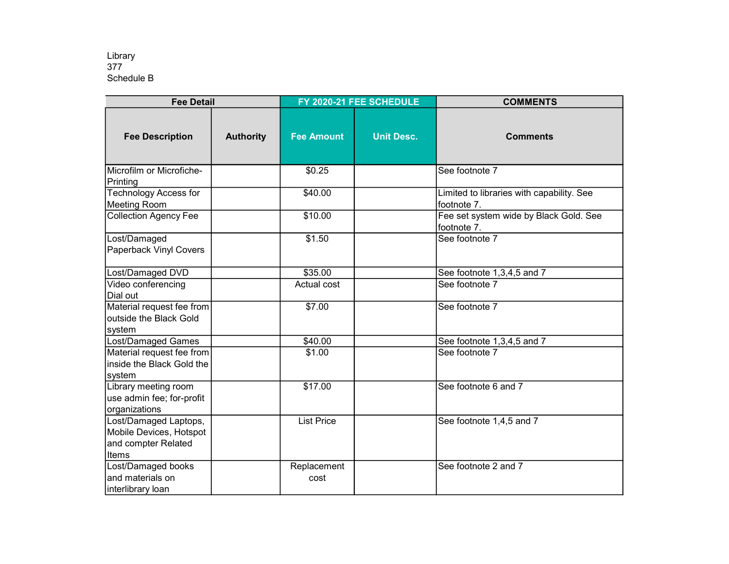| <b>Fee Detail</b>                                                                |                  | FY 2020-21 FEE SCHEDULE |                   | <b>COMMENTS</b>                                          |
|----------------------------------------------------------------------------------|------------------|-------------------------|-------------------|----------------------------------------------------------|
| <b>Fee Description</b>                                                           | <b>Authority</b> | <b>Fee Amount</b>       | <b>Unit Desc.</b> | <b>Comments</b>                                          |
| Microfilm or Microfiche-<br>Printing                                             |                  | \$0.25                  |                   | See footnote 7                                           |
| <b>Technology Access for</b><br><b>Meeting Room</b>                              |                  | \$40.00                 |                   | Limited to libraries with capability. See<br>footnote 7. |
| <b>Collection Agency Fee</b>                                                     |                  | \$10.00                 |                   | Fee set system wide by Black Gold. See<br>footnote 7.    |
| Lost/Damaged<br>Paperback Vinyl Covers                                           |                  | \$1.50                  |                   | See footnote 7                                           |
| Lost/Damaged DVD                                                                 |                  | \$35.00                 |                   | See footnote 1,3,4,5 and 7                               |
| Video conferencing<br>Dial out                                                   |                  | Actual cost             |                   | See footnote 7                                           |
| Material request fee from<br>outside the Black Gold<br>system                    |                  | \$7.00                  |                   | See footnote 7                                           |
| Lost/Damaged Games                                                               |                  | \$40.00                 |                   | See footnote 1,3,4,5 and 7                               |
| Material request fee from<br>inside the Black Gold the<br>system                 |                  | \$1.00                  |                   | See footnote 7                                           |
| Library meeting room<br>use admin fee; for-profit<br>organizations               |                  | \$17.00                 |                   | See footnote 6 and 7                                     |
| Lost/Damaged Laptops,<br>Mobile Devices, Hotspot<br>and compter Related<br>Items |                  | <b>List Price</b>       |                   | See footnote 1,4,5 and 7                                 |
| Lost/Damaged books<br>land materials on<br>interlibrary loan                     |                  | Replacement<br>cost     |                   | See footnote 2 and 7                                     |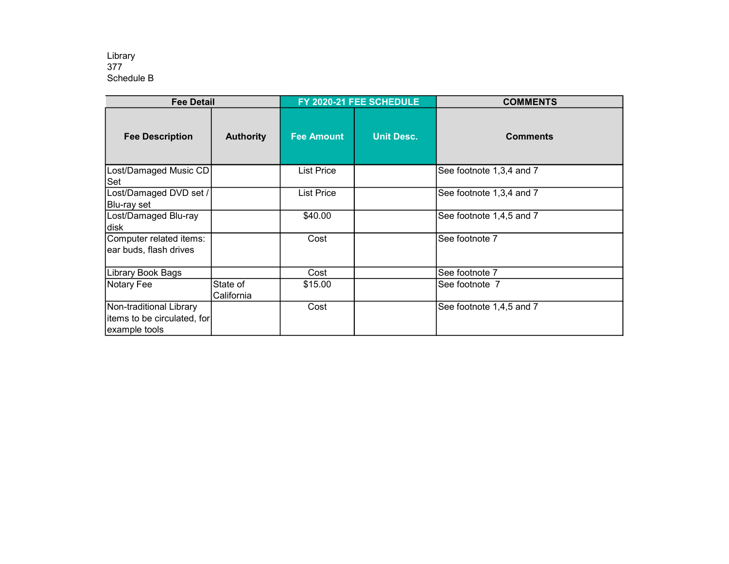| <b>Fee Detail</b>                                                       |                        | FY 2020-21 FEE SCHEDULE |                   | <b>COMMENTS</b>          |
|-------------------------------------------------------------------------|------------------------|-------------------------|-------------------|--------------------------|
| <b>Fee Description</b>                                                  | <b>Authority</b>       | <b>Fee Amount</b>       | <b>Unit Desc.</b> | <b>Comments</b>          |
| Lost/Damaged Music CD<br>Set                                            |                        | List Price              |                   | See footnote 1,3,4 and 7 |
| Lost/Damaged DVD set /<br>Blu-ray set                                   |                        | List Price              |                   | See footnote 1,3,4 and 7 |
| Lost/Damaged Blu-ray<br>disk                                            |                        | \$40.00                 |                   | See footnote 1,4,5 and 7 |
| Computer related items:<br>ear buds, flash drives                       |                        | Cost                    |                   | See footnote 7           |
| Library Book Bags                                                       |                        | Cost                    |                   | See footnote 7           |
| Notary Fee                                                              | State of<br>California | \$15.00                 |                   | See footnote 7           |
| Non-traditional Library<br>items to be circulated, for<br>example tools |                        | Cost                    |                   | See footnote 1,4,5 and 7 |